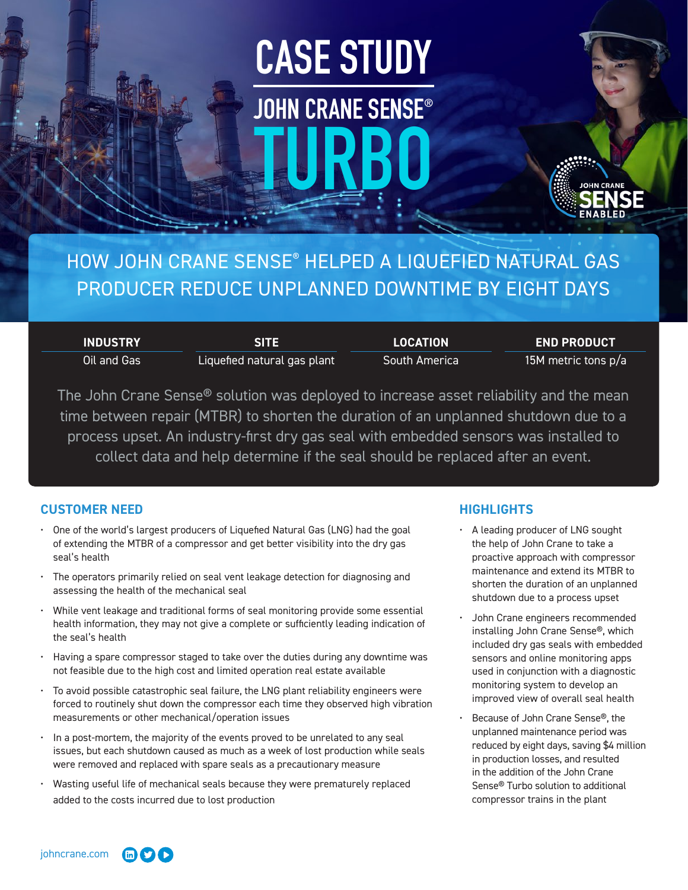# **CASE STUDY JOHN CRANE SENSE® TURBO**

## HOW JOHN CRANE SENSE® HELPED A LIQUEFIED NATURAL GAS PRODUCER REDUCE UNPLANNED DOWNTIME BY EIGHT DAYS

**INDUSTRY** Oil and Gas **SITE** Liquefied natural gas plant **LOCATION** South America

**END PRODUCT** 15M metric tons p/a

The John Crane Sense® solution was deployed to increase asset reliability and the mean time between repair (MTBR) to shorten the duration of an unplanned shutdown due to a process upset. An industry-first dry gas seal with embedded sensors was installed to collect data and help determine if the seal should be replaced after an event.

### **CUSTOMER NEED**

- One of the world's largest producers of Liquefied Natural Gas (LNG) had the goal of extending the MTBR of a compressor and get better visibility into the dry gas seal's health
- The operators primarily relied on seal vent leakage detection for diagnosing and assessing the health of the mechanical seal
- While vent leakage and traditional forms of seal monitoring provide some essential health information, they may not give a complete or sufficiently leading indication of the seal's health
- Having a spare compressor staged to take over the duties during any downtime was not feasible due to the high cost and limited operation real estate available
- To avoid possible catastrophic seal failure, the LNG plant reliability engineers were forced to routinely shut down the compressor each time they observed high vibration measurements or other mechanical/operation issues
- In a post-mortem, the majority of the events proved to be unrelated to any seal issues, but each shutdown caused as much as a week of lost production while seals were removed and replaced with spare seals as a precautionary measure
- Wasting useful life of mechanical seals because they were prematurely replaced added to the costs incurred due to lost production

## **HIGHLIGHTS**

- A leading producer of LNG sought the help of John Crane to take a proactive approach with compressor maintenance and extend its MTBR to shorten the duration of an unplanned shutdown due to a process upset
- John Crane engineers recommended installing John Crane Sense®, which included dry gas seals with embedded sensors and online monitoring apps used in conjunction with a diagnostic monitoring system to develop an improved view of overall seal health
- Because of John Crane Sense®, the unplanned maintenance period was reduced by eight days, saving \$4 million in production losses, and resulted in the addition of the John Crane Sense® Turbo solution to additional compressor trains in the plant